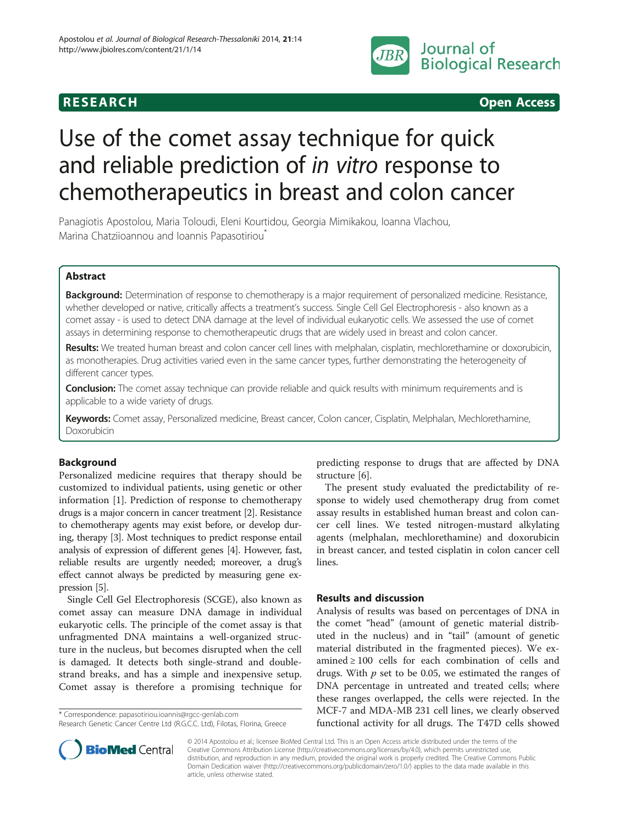

**RESEARCH CHINESEARCH CHINESEARCH** 

# Use of the comet assay technique for quick and reliable prediction of in vitro response to chemotherapeutics in breast and colon cancer

Panagiotis Apostolou, Maria Toloudi, Eleni Kourtidou, Georgia Mimikakou, Ioanna Vlachou, Marina Chatziioannou and Ioannis Papasotiriou<sup>®</sup>

# Abstract

Background: Determination of response to chemotherapy is a major requirement of personalized medicine. Resistance, whether developed or native, critically affects a treatment's success. Single Cell Gel Εlectrophoresis - also known as a comet assay - is used to detect DNA damage at the level of individual eukaryotic cells. We assessed the use of comet assays in determining response to chemotherapeutic drugs that are widely used in breast and colon cancer.

Results: We treated human breast and colon cancer cell lines with melphalan, cisplatin, mechlorethamine or doxorubicin, as monotherapies. Drug activities varied even in the same cancer types, further demonstrating the heterogeneity of different cancer types.

**Conclusion:** The comet assay technique can provide reliable and quick results with minimum requirements and is applicable to a wide variety of drugs.

Keywords: Comet assay, Personalized medicine, Breast cancer, Colon cancer, Cisplatin, Melphalan, Mechlorethamine, Doxorubicin

# Background

Personalized medicine requires that therapy should be customized to individual patients, using genetic or other information [[1\]](#page-5-0). Prediction of response to chemotherapy drugs is a major concern in cancer treatment [[2](#page-5-0)]. Resistance to chemotherapy agents may exist before, or develop during, therapy [\[3\]](#page-5-0). Most techniques to predict response entail analysis of expression of different genes [[4](#page-5-0)]. However, fast, reliable results are urgently needed; moreover, a drug's effect cannot always be predicted by measuring gene expression [[5](#page-5-0)].

Single Cell Gel Electrophoresis (SCGE), also known as comet assay can measure DNA damage in individual eukaryotic cells. The principle of the comet assay is that unfragmented DNA maintains a well-organized structure in the nucleus, but becomes disrupted when the cell is damaged. It detects both single-strand and doublestrand breaks, and has a simple and inexpensive setup. Comet assay is therefore a promising technique for

\* Correspondence: [papasotiriou.ioannis@rgcc-genlab.com](mailto:papasotiriou.ioannis@rgcc-genlab.com) Research Genetic Cancer Centre Ltd (R.G.C.C. Ltd), Filotas, Florina, Greece

predicting response to drugs that are affected by DNA structure [[6\]](#page-5-0).

The present study evaluated the predictability of response to widely used chemotherapy drug from comet assay results in established human breast and colon cancer cell lines. We tested nitrogen-mustard alkylating agents (melphalan, mechlorethamine) and doxorubicin in breast cancer, and tested cisplatin in colon cancer cell lines.

# Results and discussion

Analysis of results was based on percentages of DNA in the comet "head" (amount of genetic material distributed in the nucleus) and in "tail" (amount of genetic material distributed in the fragmented pieces). We examined  $\geq 100$  cells for each combination of cells and drugs. With  $p$  set to be 0.05, we estimated the ranges of DNA percentage in untreated and treated cells; where these ranges overlapped, the cells were rejected. In the MCF-7 and MDA-MB 231 cell lines, we clearly observed functional activity for all drugs. The T47D cells showed



© 2014 Apostolou et al.; licensee BioMed Central Ltd. This is an Open Access article distributed under the terms of the Creative Commons Attribution License (<http://creativecommons.org/licenses/by/4.0>), which permits unrestricted use, distribution, and reproduction in any medium, provided the original work is properly credited. The Creative Commons Public Domain Dedication waiver [\(http://creativecommons.org/publicdomain/zero/1.0/\)](http://creativecommons.org/publicdomain/zero/1.0/) applies to the data made available in this article, unless otherwise stated.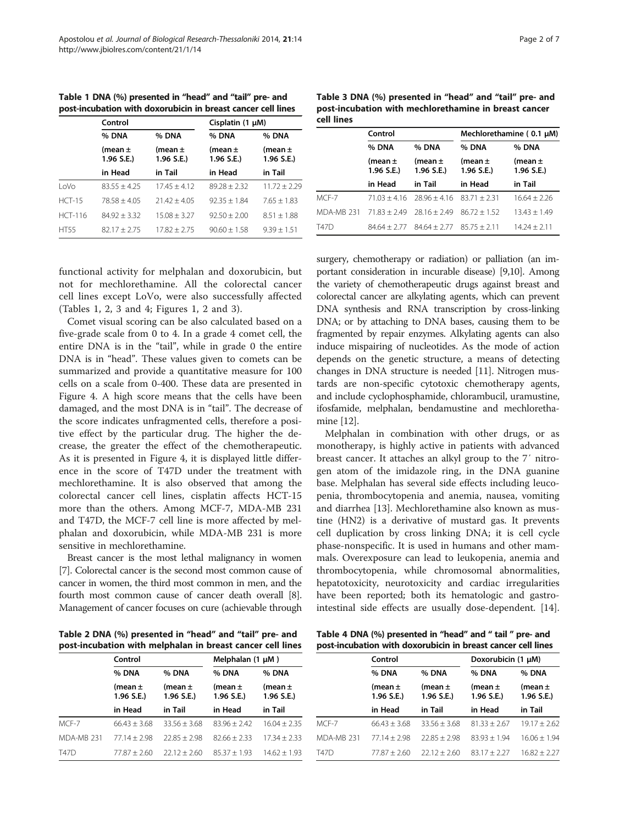|             | Control                     |                           | Cisplatin $(1 \mu M)$       |                             |
|-------------|-----------------------------|---------------------------|-----------------------------|-----------------------------|
|             | % DNA                       | % DNA                     | % DNA                       | % DNA                       |
|             | (mean $\pm$<br>$1.96$ S.E.) | (mean $\pm$<br>1.96 S.E.) | (mean $\pm$<br>$1.96$ S.E.) | (mean $\pm$<br>$1.96$ S.E.) |
|             | in Head                     | in Tail                   | in Head                     | in Tail                     |
| l oVo       | $83.55 + 4.25$              | $17.45 + 4.12$            | $89.28 + 2.32$              | $11.72 + 2.29$              |
| $HCT-15$    | $78.58 + 4.05$              | $21.42 + 4.05$            | $92.35 + 1.84$              | $7.65 + 1.83$               |
| $HCT-116$   | $84.92 + 3.32$              | $15.08 \pm 3.27$          | $92.50 + 2.00$              | $8.51 + 1.88$               |
| <b>HT55</b> | $82.17 + 2.75$              | $17.82 + 2.75$            | $90.60 + 1.58$              | $9.39 + 1.51$               |

Table 1 DNA (%) presented in "head" and "tail" pre- and post-incubation with doxorubicin in breast cancer cell lines

functional activity for melphalan and doxorubicin, but not for mechlorethamine. All the colorectal cancer cell lines except LoVo, were also successfully affected (Tables 1, 2, 3 and 4; Figures [1](#page-2-0), [2](#page-2-0) and [3\)](#page-3-0).

Comet visual scoring can be also calculated based on a five-grade scale from 0 to 4. In a grade 4 comet cell, the entire DNA is in the "tail", while in grade 0 the entire DNA is in "head". These values given to comets can be summarized and provide a quantitative measure for 100 cells on a scale from 0-400. These data are presented in Figure [4.](#page-4-0) A high score means that the cells have been damaged, and the most DNA is in "tail". The decrease of the score indicates unfragmented cells, therefore a positive effect by the particular drug. The higher the decrease, the greater the effect of the chemotherapeutic. As it is presented in Figure [4](#page-4-0), it is displayed little difference in the score of T47D under the treatment with mechlorethamine. It is also observed that among the colorectal cancer cell lines, cisplatin affects HCT-15 more than the others. Among MCF-7, MDA-MB 231 and T47D, the MCF-7 cell line is more affected by melphalan and doxorubicin, while MDA-MB 231 is more sensitive in mechlorethamine.

Breast cancer is the most lethal malignancy in women [[7](#page-5-0)]. Colorectal cancer is the second most common cause of cancer in women, the third most common in men, and the fourth most common cause of cancer death overall [[8](#page-5-0)]. Management of cancer focuses on cure (achievable through

Table 3 DNA (%) presented in "head" and "tail" pre- and post-incubation with mechlorethamine in breast cancer cell lines

|            | Control                     |                           | Mechlorethamine $(0.1 \mu M)$ |                         |
|------------|-----------------------------|---------------------------|-------------------------------|-------------------------|
|            | % DNA                       | % DNA                     | % DNA                         | % DNA                   |
|            | (mean $\pm$<br>$1.96$ S.E.) | (mean $\pm$<br>1.96 S.E.) | (mean $\pm$<br>$1.96$ S.E.)   | (mean ±<br>$1.96$ S.E.) |
|            | in Head                     | in Tail                   | in Head                       | in Tail                 |
| MCF-7      | $71.03 + 4.16$              | 28.96 + 4.16              | $8371 + 231$                  | $16.64 + 2.26$          |
| MDA-MB 231 | $71.83 + 2.49$              | $28.16 + 2.49$            | $8672 + 152$                  | $13.43 + 1.49$          |
| T47D       | 8464 + 277                  | $84.64 + 2.77$            | $85.75 + 2.11$                | $14.24 + 2.11$          |

surgery, chemotherapy or radiation) or palliation (an important consideration in incurable disease) [\[9,10\]](#page-5-0). Among the variety of chemotherapeutic drugs against breast and colorectal cancer are alkylating agents, which can prevent DNA synthesis and RNA transcription by cross-linking DNA; or by attaching to DNA bases, causing them to be fragmented by repair enzymes. Alkylating agents can also induce mispairing of nucleotides. As the mode of action depends on the genetic structure, a means of detecting changes in DNA structure is needed [\[11](#page-5-0)]. Nitrogen mustards are non-specific cytotoxic chemotherapy agents, and include cyclophosphamide, chlorambucil, uramustine, ifosfamide, melphalan, bendamustine and mechlorethamine [[12](#page-5-0)].

Melphalan in combination with other drugs, or as monotherapy, is highly active in patients with advanced breast cancer. It attaches an alkyl group to the 7′ nitrogen atom of the imidazole ring, in the DNA guanine base. Melphalan has several side effects including leucopenia, thrombocytopenia and anemia, nausea, vomiting and diarrhea [[13\]](#page-5-0). Mechlorethamine also known as mustine (HN2) is a derivative of mustard gas. It prevents cell duplication by cross linking DNA; it is cell cycle phase-nonspecific. It is used in humans and other mammals. Overexposure can lead to leukopenia, anemia and thrombocytopenia, while chromosomal abnormalities, hepatotoxicity, neurotoxicity and cardiac irregularities have been reported; both its hematologic and gastrointestinal side effects are usually dose-dependent. [\[14](#page-5-0)].

Table 2 DNA (%) presented in "head" and "tail" pre- and post-incubation with melphalan in breast cancer cell lines

|            | Control                   |                       | Melphalan $(1 \mu M)$     |                             |
|------------|---------------------------|-----------------------|---------------------------|-----------------------------|
|            | % DNA                     | % DNA                 | % DNA                     | % DNA                       |
|            | (mean $\pm$<br>1.96 S.E.) | (mean ±<br>1.96 S.E.) | (mean $\pm$<br>1.96 S.E.) | (mean $\pm$<br>$1.96$ S.E.) |
|            | in Head                   | in Tail               | in Head                   | in Tail                     |
| MCF-7      | $66.43 + 3.68$            | $33.56 + 3.68$        | $83.96 + 2.42$            | $16.04 \pm 2.35$            |
| MDA-MB 231 | $77.14 \pm 2.98$          | $72.85 + 2.98$        | $82.66 \pm 2.33$          | $17.34 \pm 2.33$            |
| T47D       | $77.87 \pm 2.60$          | $22.12 \pm 2.60$      | $85.37 \pm 1.93$          | $14.62 \pm 1.93$            |

Table 4 DNA (%) presented in "head" and " tail " pre- and post-incubation with doxorubicin in breast cancer cell lines

|                   | Control                   |                             | Doxorubicin (1 µM)          |                             |
|-------------------|---------------------------|-----------------------------|-----------------------------|-----------------------------|
|                   | % DNA                     | % DNA                       | % DNA                       | % DNA                       |
|                   | (mean $\pm$<br>1.96 S.E.) | (mean $\pm$<br>$1.96$ S.E.) | (mean $\pm$<br>$1.96$ S.E.) | (mean $\pm$<br>$1.96$ S.E.) |
|                   | in Head                   | in Tail                     | in Head                     | in Tail                     |
| MCF-7             | $66.43 + 3.68$            | $33.56 + 3.68$              | $81.33 + 2.67$              | $19.17 \pm 2.62$            |
| <b>MDA-MB 231</b> | $77.14 + 2.98$            | $72.85 + 2.98$              | $83.93 + 1.94$              | $16.06 \pm 1.94$            |
| T47D              | $77.87 + 2.60$            | $22.12 + 2.60$              | $83.17 + 2.27$              | $16.82 + 2.27$              |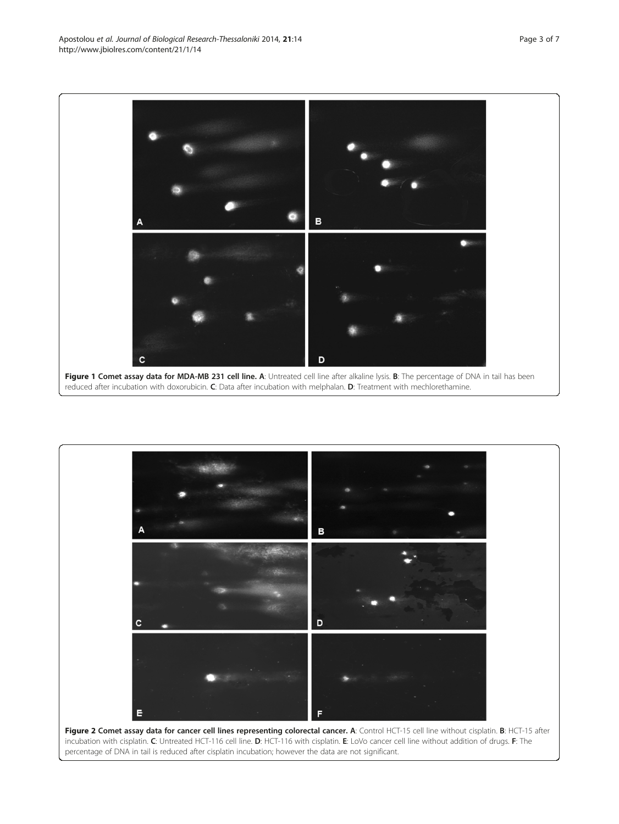<span id="page-2-0"></span>Apostolou et al. Journal of Biological Research-Thessaloniki 2014, 21:14 Page 3 of 7 http://www.jbiolres.com/content/21/1/14





incubation with cisplatin. C: Untreated HCT-116 cell line. D: HCT-116 with cisplatin. E: LoVo cancer cell line without addition of drugs. F: The percentage of DNA in tail is reduced after cisplatin incubation; however the data are not significant.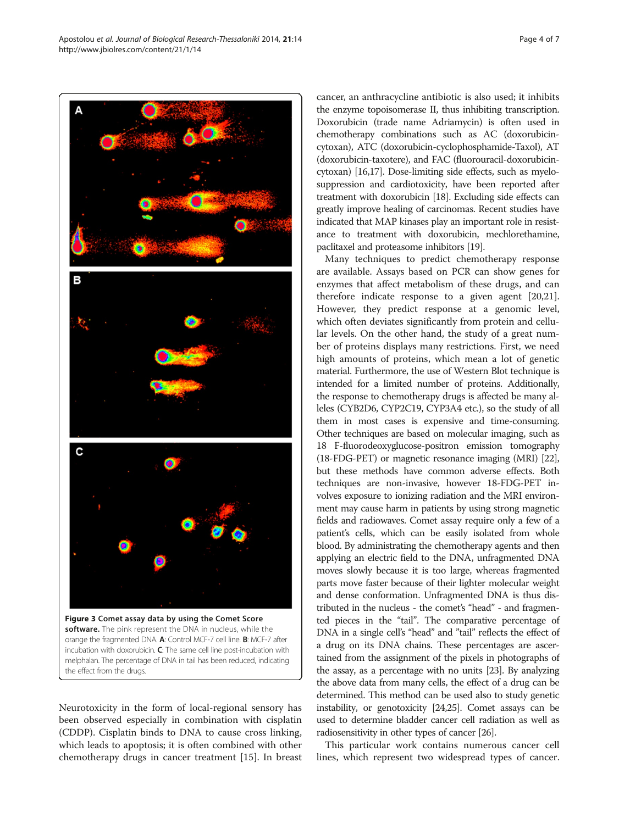<span id="page-3-0"></span>Apostolou et al. Journal of Biological Research-Thessaloniki 2014, 21:14 Page 4 of 7 http://www.jbiolres.com/content/21/1/14



incubation with doxorubicin. C: The same cell line post-incubation with melphalan. The percentage of DNA in tail has been reduced, indicating the effect from the drugs.

Neurotoxicity in the form of local-regional sensory has been observed especially in combination with cisplatin (CDDP). Cisplatin binds to DNA to cause cross linking, which leads to apoptosis; it is often combined with other chemotherapy drugs in cancer treatment [\[15](#page-5-0)]. In breast cancer, an anthracycline antibiotic is also used; it inhibits the enzyme topoisomerase II, thus inhibiting transcription. Doxorubicin (trade name Adriamycin) is often used in chemotherapy combinations such as AC (doxorubicincytoxan), ATC (doxorubicin-cyclophosphamide-Taxol), AT (doxorubicin-taxotere), and FAC (fluorouracil-doxorubicincytoxan) [\[16,17](#page-5-0)]. Dose-limiting side effects, such as myelosuppression and cardiotoxicity, have been reported after treatment with doxorubicin [\[18\]](#page-5-0). Excluding side effects can greatly improve healing of carcinomas. Recent studies have indicated that MAP kinases play an important role in resistance to treatment with doxorubicin, mechlorethamine, paclitaxel and proteasome inhibitors [\[19\]](#page-5-0).

Many techniques to predict chemotherapy response are available. Assays based on PCR can show genes for enzymes that affect metabolism of these drugs, and can therefore indicate response to a given agent [\[20,21](#page-5-0)]. However, they predict response at a genomic level, which often deviates significantly from protein and cellular levels. On the other hand, the study of a great number of proteins displays many restrictions. First, we need high amounts of proteins, which mean a lot of genetic material. Furthermore, the use of Western Blot technique is intended for a limited number of proteins. Additionally, the response to chemotherapy drugs is affected be many alleles (CYB2D6, CYP2C19, CYP3A4 etc.), so the study of all them in most cases is expensive and time-consuming. Other techniques are based on molecular imaging, such as 18 F-fluorodeoxyglucose-positron emission tomography (18-FDG-PET) or magnetic resonance imaging (MRI) [\[22](#page-5-0)], but these methods have common adverse effects. Both techniques are non-invasive, however 18-FDG-PET involves exposure to ionizing radiation and the MRI environment may cause harm in patients by using strong magnetic fields and radiowaves. Comet assay require only a few of a patient's cells, which can be easily isolated from whole blood. By administrating the chemotherapy agents and then applying an electric field to the DNA, unfragmented DNA moves slowly because it is too large, whereas fragmented parts move faster because of their lighter molecular weight and dense conformation. Unfragmented DNA is thus distributed in the nucleus - the comet's "head" - and fragmented pieces in the "tail". The comparative percentage of DNA in a single cell's "head" and "tail" reflects the effect of a drug on its DNA chains. These percentages are ascertained from the assignment of the pixels in photographs of the assay, as a percentage with no units [[23](#page-5-0)]. By analyzing the above data from many cells, the effect of a drug can be determined. This method can be used also to study genetic instability, or genotoxicity [\[24,25\]](#page-6-0). Comet assays can be used to determine bladder cancer cell radiation as well as radiosensitivity in other types of cancer [\[26\]](#page-6-0).

This particular work contains numerous cancer cell lines, which represent two widespread types of cancer.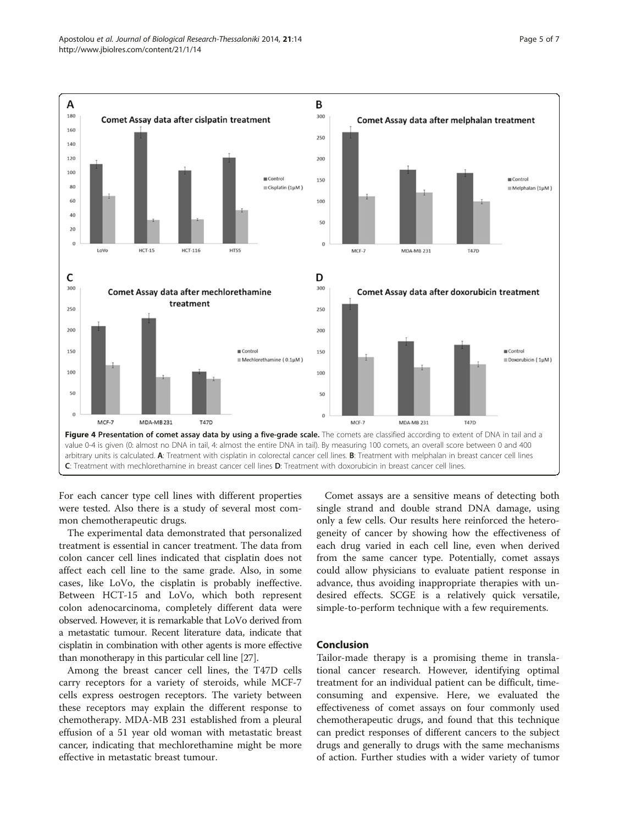<span id="page-4-0"></span>

For each cancer type cell lines with different properties were tested. Also there is a study of several most common chemotherapeutic drugs.

The experimental data demonstrated that personalized treatment is essential in cancer treatment. The data from colon cancer cell lines indicated that cisplatin does not affect each cell line to the same grade. Also, in some cases, like LoVo, the cisplatin is probably ineffective. Between HCT-15 and LoVo, which both represent colon adenocarcinoma, completely different data were observed. However, it is remarkable that LoVo derived from a metastatic tumour. Recent literature data, indicate that cisplatin in combination with other agents is more effective than monotherapy in this particular cell line [\[27\]](#page-6-0).

Among the breast cancer cell lines, the T47D cells carry receptors for a variety of steroids, while MCF-7 cells express oestrogen receptors. The variety between these receptors may explain the different response to chemotherapy. MDA-MB 231 established from a pleural effusion of a 51 year old woman with metastatic breast cancer, indicating that mechlorethamine might be more effective in metastatic breast tumour.

Comet assays are a sensitive means of detecting both single strand and double strand DNA damage, using only a few cells. Our results here reinforced the heterogeneity of cancer by showing how the effectiveness of each drug varied in each cell line, even when derived from the same cancer type. Potentially, comet assays could allow physicians to evaluate patient response in advance, thus avoiding inappropriate therapies with undesired effects. SCGE is a relatively quick versatile, simple-to-perform technique with a few requirements.

#### Conclusion

Tailor-made therapy is a promising theme in translational cancer research. However, identifying optimal treatment for an individual patient can be difficult, timeconsuming and expensive. Here, we evaluated the effectiveness of comet assays on four commonly used chemotherapeutic drugs, and found that this technique can predict responses of different cancers to the subject drugs and generally to drugs with the same mechanisms of action. Further studies with a wider variety of tumor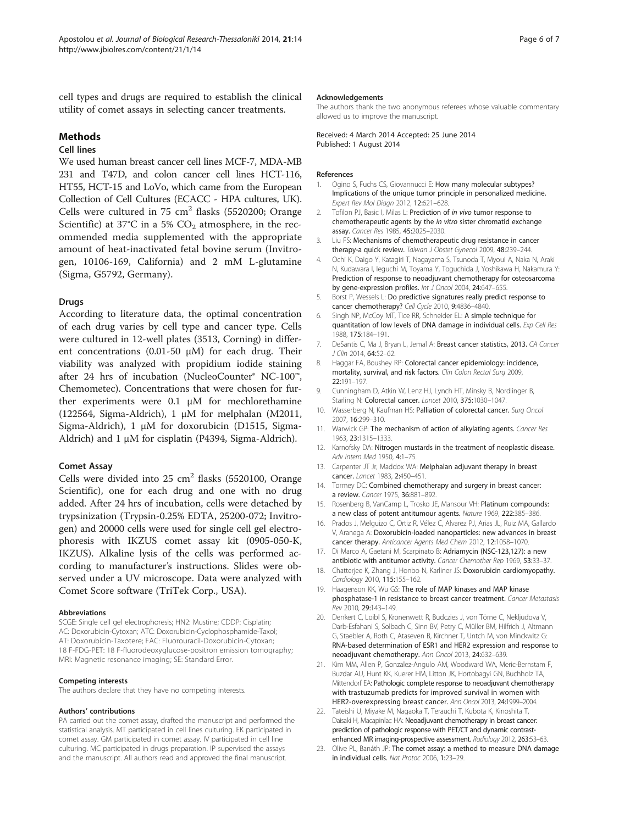<span id="page-5-0"></span>cell types and drugs are required to establish the clinical utility of comet assays in selecting cancer treatments.

### **Methods**

### Cell lines

We used human breast cancer cell lines MCF-7, MDA-MB 231 and T47D, and colon cancer cell lines HCT-116, HT55, HCT-15 and LoVo, which came from the European Collection of Cell Cultures (ECACC - HPA cultures, UK). Cells were cultured in 75  $cm<sup>2</sup>$  flasks (5520200; Orange Scientific) at 37°C in a 5%  $CO<sub>2</sub>$  atmosphere, in the recommended media supplemented with the appropriate amount of heat-inactivated fetal bovine serum (Invitrogen, 10106-169, California) and 2 mM L-glutamine (Sigma, G5792, Germany).

#### Drugs

According to literature data, the optimal concentration of each drug varies by cell type and cancer type. Cells were cultured in 12-well plates (3513, Corning) in different concentrations (0.01-50 μM) for each drug. Their viability was analyzed with propidium iodide staining after 24 hrs of incubation (NucleoCounter® NC-100™, Chemometec). Concentrations that were chosen for further experiments were 0.1 μM for mechlorethamine (122564, Sigma-Aldrich), 1 μM for melphalan (Μ2011, Sigma-Aldrich), 1 μM for doxorubicin (D1515, Sigma-Aldrich) and 1 μM for cisplatin (P4394, Sigma-Aldrich).

#### Comet Assay

Cells were divided into  $25 \text{ cm}^2$  flasks (5520100, Orange Scientific), one for each drug and one with no drug added. After 24 hrs of incubation, cells were detached by trypsinization (Trypsin-0.25% EDTA, 25200-072; Invitrogen) and 20000 cells were used for single cell gel electrophoresis with IKZUS comet assay kit (0905-050-K, IKZUS). Alkaline lysis of the cells was performed according to manufacturer's instructions. Slides were observed under a UV microscope. Data were analyzed with Comet Score software (TriTek Corp., USA).

#### Abbreviations

SCGE: Single cell gel electrophoresis; HN2: Mustine; CDDP: Cisplatin; AC: Doxorubicin-Cytoxan; ATC: Doxorubicin-Cyclophosphamide-Taxol; AT: Doxorubicin-Taxotere; FAC: Fluorouracil-Doxorubicin-Cytoxan; 18 F-FDG-PET: 18 F-fluorodeoxyglucose-positron emission tomography; MRI: Magnetic resonance imaging; SE: Standard Error.

#### Competing interests

The authors declare that they have no competing interests.

#### Authors' contributions

PA carried out the comet assay, drafted the manuscript and performed the statistical analysis. MT participated in cell lines culturing. EK participated in comet assay. GM participated in comet assay. IV participated in cell line culturing. MC participated in drugs preparation. IP supervised the assays and the manuscript. All authors read and approved the final manuscript.

#### Acknowledgements

The authors thank the two anonymous referees whose valuable commentary allowed us to improve the manuscript.

Received: 4 March 2014 Accepted: 25 June 2014 Published: 1 August 2014

#### References

- 1. Ogino S, Fuchs CS, Giovannucci E: How many molecular subtypes? Implications of the unique tumor principle in personalized medicine. Expert Rev Mol Diagn 2012, 12:621–628.
- 2. Tofilon PJ, Basic I, Milas L: Prediction of in vivo tumor response to chemotherapeutic agents by the in vitro sister chromatid exchange assay. Cancer Res 1985, 45:2025–2030.
- 3. Liu FS: Mechanisms of chemotherapeutic drug resistance in cancer therapy-a quick review. Taiwan J Obstet Gynecol 2009, 48:239-244.
- 4. Ochi K, Daigo Y, Katagiri T, Nagayama S, Tsunoda T, Myoui A, Naka N, Araki N, Kudawara I, Ieguchi M, Toyama Y, Toguchida J, Yoshikawa H, Nakamura Y: Prediction of response to neoadjuvant chemotherapy for osteosarcoma by gene-expression profiles. Int J Oncol 2004, 24:647-655.
- 5. Borst P, Wessels L: Do predictive signatures really predict response to cancer chemotherapy? Cell Cycle 2010, 9:4836–4840.
- 6. Singh NP, McCoy MT, Tice RR, Schneider EL: A simple technique for quantitation of low levels of DNA damage in individual cells. Exp Cell Res 1988, 175:184–191.
- 7. DeSantis C, Ma J, Bryan L, Jemal A: Breast cancer statistics, 2013. CA Cancer J Clin 2014, 64:52–62.
- 8. Haggar FA, Boushey RP: Colorectal cancer epidemiology: incidence, mortality, survival, and risk factors. Clin Colon Rectal Surg 2009, 22:191–197.
- 9. Cunningham D, Atkin W, Lenz HJ, Lynch HT, Minsky B, Nordlinger B, Starling N: Colorectal cancer. Lancet 2010, 375:1030-1047.
- 10. Wasserberg N, Kaufman HS: Palliation of colorectal cancer. Surg Oncol 2007, 16:299–310.
- 11. Warwick GP: The mechanism of action of alkylating agents. Cancer Res 1963, 23:1315–1333.
- 12. Karnofsky DA: Nitrogen mustards in the treatment of neoplastic disease. Adv Intern Med 1950, 4:1–75.
- 13. Carpenter JT Jr, Maddox WA: Melphalan adjuvant therapy in breast cancer. Lancet 1983, 2:450-451.
- 14. Tormey DC: Combined chemotherapy and surgery in breast cancer: a review. Cancer 1975, 36:881–892.
- 15. Rosenberg B, VanCamp L, Trosko JE, Mansour VH: Platinum compounds: a new class of potent antitumour agents. Nature 1969, 222:385–386.
- 16. Prados J, Melguizo C, Ortiz R, Vélez C, Alvarez PJ, Arias JL, Ruiz MA, Gallardo V, Aranega A: Doxorubicin-loaded nanoparticles: new advances in breast cancer therapy. Anticancer Agents Med Chem 2012, 12:1058–1070.
- 17. Di Marco A, Gaetani M, Scarpinato B: Adriamycin (NSC-123,127): a new antibiotic with antitumor activity. Cancer Chemother Rep 1969, 53:33-37.
- 18. Chatterjee K, Zhang J, Honbo N, Karliner JS: Doxorubicin cardiomyopathy. Cardiology 2010, 115:155–162.
- 19. Haagenson KK, Wu GS: The role of MAP kinases and MAP kinase phosphatase-1 in resistance to breast cancer treatment. Cancer Metastasis Rev 2010, 29:143–149.
- 20. Denkert C, Loibl S, Kronenwett R, Budczies J, von Törne C, Nekljudova V, Darb-Esfahani S, Solbach C, Sinn BV, Petry C, Müller BM, Hilfrich J, Altmann G, Staebler A, Roth C, Ataseven B, Kirchner T, Untch M, von Minckwitz G: RNA-based determination of ESR1 and HER2 expression and response to neoadjuvant chemotherapy. Ann Oncol 2013, 24:632–639.
- 21. Kim MM, Allen P, Gonzalez-Angulo AM, Woodward WA, Meric-Bernstam F, Buzdar AU, Hunt KK, Kuerer HM, Litton JK, Hortobagyi GN, Buchholz TA, Mittendorf EA: Pathologic complete response to neoadjuvant chemotherapy with trastuzumab predicts for improved survival in women with HER2-overexpressing breast cancer. Ann Oncol 2013, 24:1999–2004.
- 22. Tateishi U, Miyake M, Nagaoka T, Terauchi T, Kubota K, Kinoshita T, Daisaki H, Macapinlac HA: Neoadjuvant chemotherapy in breast cancer: prediction of pathologic response with PET/CT and dynamic contrastenhanced MR imaging-prospective assessment. Radiology 2012, 263:53–63.
- 23. Olive PL, Banáth JP: The comet assay: a method to measure DNA damage in individual cells. Nat Protoc 2006, 1:23–29.